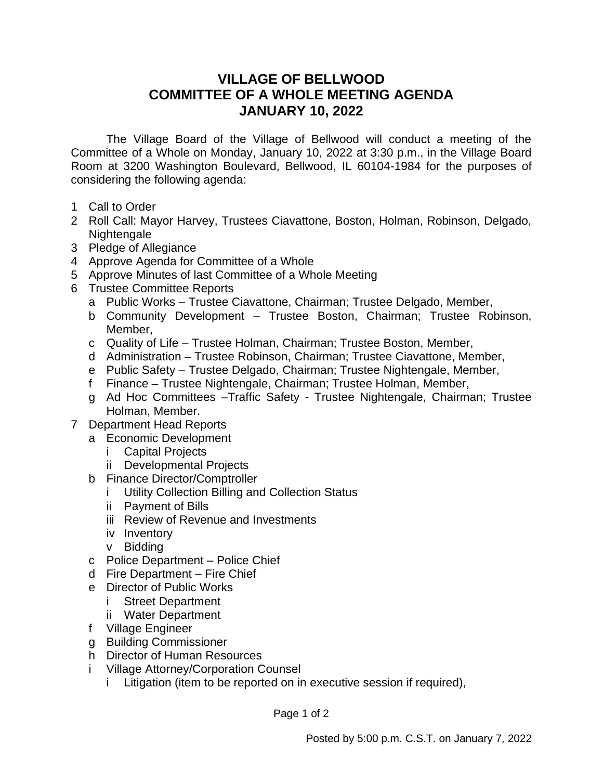## **VILLAGE OF BELLWOOD COMMITTEE OF A WHOLE MEETING AGENDA JANUARY 10, 2022**

The Village Board of the Village of Bellwood will conduct a meeting of the Committee of a Whole on Monday, January 10, 2022 at 3:30 p.m., in the Village Board Room at 3200 Washington Boulevard, Bellwood, IL 60104-1984 for the purposes of considering the following agenda:

- 1 Call to Order
- 2 Roll Call: Mayor Harvey, Trustees Ciavattone, Boston, Holman, Robinson, Delgado, Nightengale
- 3 Pledge of Allegiance
- 4 Approve Agenda for Committee of a Whole
- 5 Approve Minutes of last Committee of a Whole Meeting
- 6 Trustee Committee Reports
	- a Public Works Trustee Ciavattone, Chairman; Trustee Delgado, Member,
	- b Community Development Trustee Boston, Chairman; Trustee Robinson, Member,
	- c Quality of Life Trustee Holman, Chairman; Trustee Boston, Member,
	- d Administration Trustee Robinson, Chairman; Trustee Ciavattone, Member,
	- e Public Safety Trustee Delgado, Chairman; Trustee Nightengale, Member,
	- f Finance Trustee Nightengale, Chairman; Trustee Holman, Member,
	- g Ad Hoc Committees –Traffic Safety Trustee Nightengale, Chairman; Trustee Holman, Member.
- 7 Department Head Reports
	- a Economic Development
		- i Capital Projects
		- ii Developmental Projects
	- b Finance Director/Comptroller
		- i Utility Collection Billing and Collection Status
		- ii Payment of Bills
		- iii Review of Revenue and Investments
		- iv Inventory
		- v Bidding
	- c Police Department Police Chief
	- d Fire Department Fire Chief
	- e Director of Public Works
		- i Street Department
		- ii Water Department
	- f Village Engineer
	- g Building Commissioner
	- h Director of Human Resources
	- i Village Attorney/Corporation Counsel
		- i Litigation (item to be reported on in executive session if required),